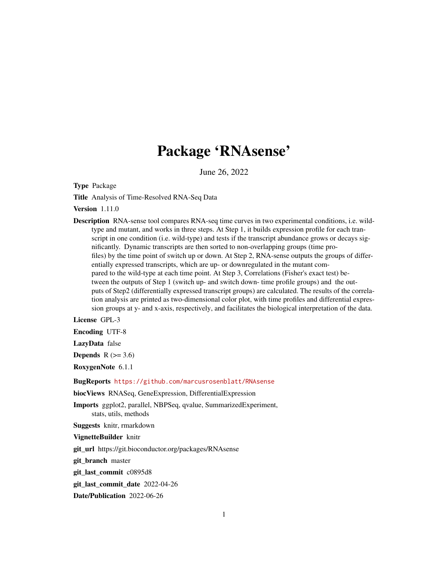# Package 'RNAsense'

June 26, 2022

<span id="page-0-0"></span>Type Package

Title Analysis of Time-Resolved RNA-Seq Data

Version 1.11.0

Description RNA-sense tool compares RNA-seq time curves in two experimental conditions, i.e. wildtype and mutant, and works in three steps. At Step 1, it builds expression profile for each transcript in one condition (i.e. wild-type) and tests if the transcript abundance grows or decays significantly. Dynamic transcripts are then sorted to non-overlapping groups (time profiles) by the time point of switch up or down. At Step 2, RNA-sense outputs the groups of differentially expressed transcripts, which are up- or downregulated in the mutant compared to the wild-type at each time point. At Step 3, Correlations (Fisher's exact test) between the outputs of Step 1 (switch up- and switch down- time profile groups) and the outputs of Step2 (differentially expressed transcript groups) are calculated. The results of the correlation analysis are printed as two-dimensional color plot, with time profiles and differential expression groups at y- and x-axis, respectively, and facilitates the biological interpretation of the data.

License GPL-3

Encoding UTF-8

LazyData false

Depends  $R$  ( $> = 3.6$ )

RoxygenNote 6.1.1

BugReports <https://github.com/marcusrosenblatt/RNAsense>

biocViews RNASeq, GeneExpression, DifferentialExpression

Imports ggplot2, parallel, NBPSeq, qvalue, SummarizedExperiment, stats, utils, methods

Suggests knitr, rmarkdown

VignetteBuilder knitr

git\_url https://git.bioconductor.org/packages/RNAsense

git branch master

git\_last\_commit c0895d8

git last commit date 2022-04-26

Date/Publication 2022-06-26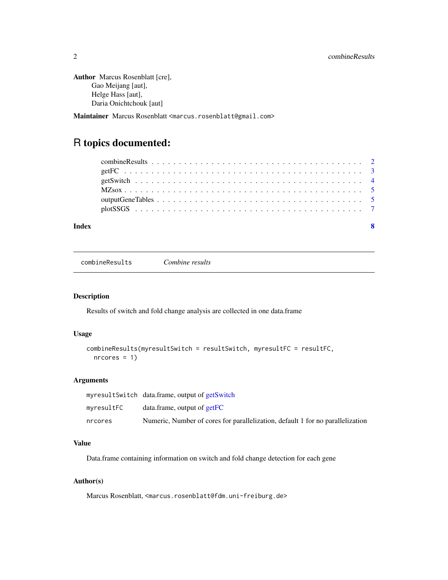```
Author Marcus Rosenblatt [cre],
     Gao Meijang [aut],
     Helge Hass [aut],
     Daria Onichtchouk [aut]
```
Maintainer Marcus Rosenblatt <marcus.rosenblatt@gmail.com>

## R topics documented:

| Index |  |
|-------|--|

<span id="page-1-1"></span>combineResults *Combine results*

#### Description

Results of switch and fold change analysis are collected in one data.frame

#### Usage

```
combineResults(myresultSwitch = resultSwitch, myresultFC = resultFC,
 ncores = 1)
```
#### Arguments

|            | myresultSwitch data.frame, output of getSwitch                                 |
|------------|--------------------------------------------------------------------------------|
| myresultFC | $data$ . data. frame, output of $getFC$                                        |
| nrcores    | Numeric, Number of cores for parallelization, default 1 for no parallelization |

### Value

Data.frame containing information on switch and fold change detection for each gene

#### Author(s)

Marcus Rosenblatt, <marcus.rosenblatt@fdm.uni-freiburg.de>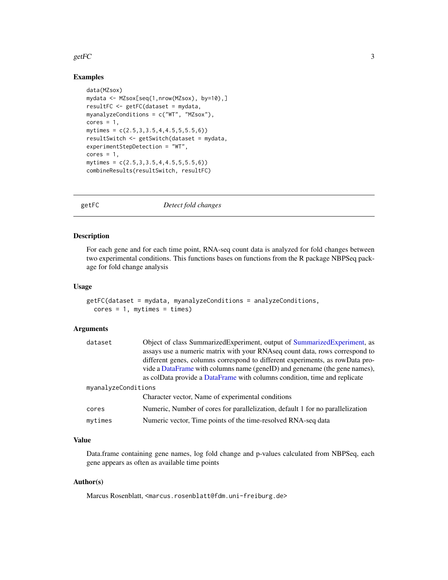#### <span id="page-2-0"></span> $g$ etFC  $\overline{\phantom{a}}$  3

#### Examples

```
data(MZsox)
mydata <- MZsox[seq(1,nrow(MZsox), by=10),]
resultFC <- getFC(dataset = mydata,
myanalyzeConditions = c("WT", "MZsox"),
cores = 1,mytimes = c(2.5,3,3.5,4,4.5,5,5.5,6))
resultSwitch <- getSwitch(dataset = mydata,
experimentStepDetection = "WT",
cores = 1,mytimes = c(2.5,3,3.5,4,4.5,5,5.5,6))
combineResults(resultSwitch, resultFC)
```
<span id="page-2-1"></span>getFC *Detect fold changes*

#### Description

For each gene and for each time point, RNA-seq count data is analyzed for fold changes between two experimental conditions. This functions bases on functions from the R package NBPSeq package for fold change analysis

#### Usage

```
getFC(dataset = mydata, myanalyzeConditions = analyzeConditions,
  cores = 1, mytimes = times)
```
#### Arguments

| dataset             | Object of class SummarizedExperiment, output of SummarizedExperiment, as       |  |
|---------------------|--------------------------------------------------------------------------------|--|
|                     | assays use a numeric matrix with your RNAseq count data, rows correspond to    |  |
|                     | different genes, columns correspond to different experiments, as rowData pro-  |  |
|                     | vide a DataFrame with columns name (geneID) and genename (the gene names),     |  |
|                     | as colData provide a DataFrame with columns condition, time and replicate      |  |
| myanalyzeConditions |                                                                                |  |
|                     | Character vector, Name of experimental conditions                              |  |
| cores               | Numeric, Number of cores for parallelization, default 1 for no parallelization |  |
| mytimes             | Numeric vector, Time points of the time-resolved RNA-seq data                  |  |
|                     |                                                                                |  |

#### Value

Data.frame containing gene names, log fold change and p-values calculated from NBPSeq, each gene appears as often as available time points

#### Author(s)

Marcus Rosenblatt, <marcus.rosenblatt@fdm.uni-freiburg.de>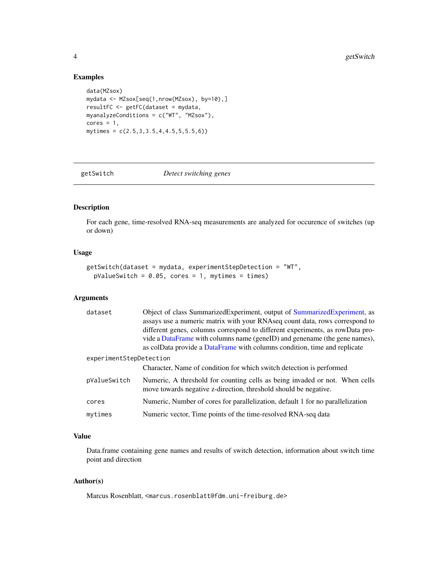#### Examples

```
data(MZsox)
mydata <- MZsox[seq(1,nrow(MZsox), by=10),]
resultFC <- getFC(dataset = mydata,
myanalyzeConditions = c("WT", "MZsox"),
cores = 1,mytimes = c(2.5,3,3.5,4,4.5,5,5.5,6))
```
<span id="page-3-1"></span>getSwitch *Detect switching genes*

#### Description

For each gene, time-resolved RNA-seq measurements are analyzed for occurence of switches (up or down)

#### Usage

```
getSwitch(dataset = mydata, experimentStepDetection = "WT",
 pValueSwitch = 0.05, cores = 1, mytimes = times)
```
#### Arguments

| dataset                 | Object of class SummarizedExperiment, output of SummarizedExperiment, as<br>assays use a numeric matrix with your RNAseq count data, rows correspond to<br>different genes, columns correspond to different experiments, as rowData pro-<br>vide a DataFrame with columns name (geneID) and genename (the gene names),<br>as colData provide a DataFrame with columns condition, time and replicate |  |  |  |
|-------------------------|-----------------------------------------------------------------------------------------------------------------------------------------------------------------------------------------------------------------------------------------------------------------------------------------------------------------------------------------------------------------------------------------------------|--|--|--|
| experimentStepDetection |                                                                                                                                                                                                                                                                                                                                                                                                     |  |  |  |
|                         | Character, Name of condition for which switch detection is performed                                                                                                                                                                                                                                                                                                                                |  |  |  |
| pValueSwitch            | Numeric, A threshold for counting cells as being invaded or not. When cells<br>move towards negative z-direction, threshold should be negative.                                                                                                                                                                                                                                                     |  |  |  |
| cores                   | Numeric, Number of cores for parallelization, default 1 for no parallelization                                                                                                                                                                                                                                                                                                                      |  |  |  |
| mytimes                 | Numeric vector, Time points of the time-resolved RNA-seq data                                                                                                                                                                                                                                                                                                                                       |  |  |  |

### Value

Data.frame containing gene names and results of switch detection, information about switch time point and direction

#### Author(s)

Marcus Rosenblatt, <marcus.rosenblatt@fdm.uni-freiburg.de>

<span id="page-3-0"></span>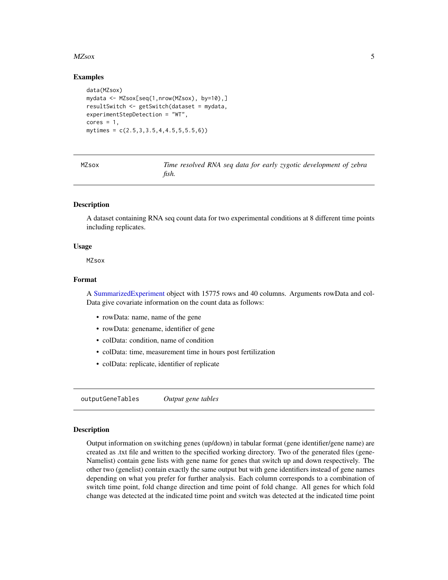#### <span id="page-4-0"></span> $MZ$ sox  $5$

#### Examples

```
data(MZsox)
mydata <- MZsox[seq(1,nrow(MZsox), by=10),]
resultSwitch <- getSwitch(dataset = mydata,
experimentStepDetection = "WT",
cores = 1,mytimes = c(2.5,3,3.5,4,4.5,5,5.5,6))
```
MZsox *Time resolved RNA seq data for early zygotic development of zebra fish.*

#### Description

A dataset containing RNA seq count data for two experimental conditions at 8 different time points including replicates.

#### Usage

**MZsox** 

#### Format

A [SummarizedExperiment](#page-0-0) object with 15775 rows and 40 columns. Arguments rowData and col-Data give covariate information on the count data as follows:

- rowData: name, name of the gene
- rowData: genename, identifier of gene
- colData: condition, name of condition
- colData: time, measurement time in hours post fertilization
- colData: replicate, identifier of replicate

outputGeneTables *Output gene tables*

#### **Description**

Output information on switching genes (up/down) in tabular format (gene identifier/gene name) are created as .txt file and written to the specified working directory. Two of the generated files (gene-Namelist) contain gene lists with gene name for genes that switch up and down respectively. The other two (genelist) contain exactly the same output but with gene identifiers instead of gene names depending on what you prefer for further analysis. Each column corresponds to a combination of switch time point, fold change direction and time point of fold change. All genes for which fold change was detected at the indicated time point and switch was detected at the indicated time point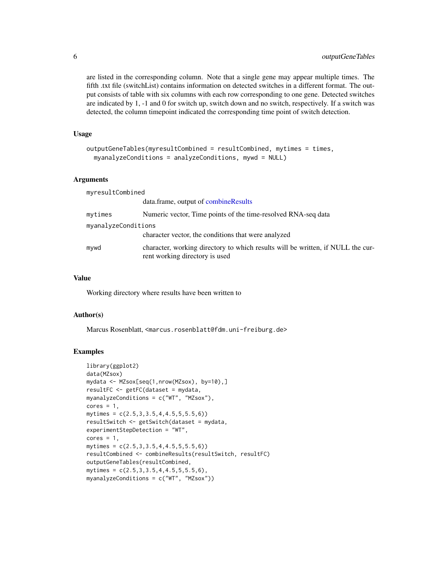are listed in the corresponding column. Note that a single gene may appear multiple times. The fifth .txt file (switchList) contains information on detected switches in a different format. The output consists of table with six columns with each row corresponding to one gene. Detected switches are indicated by 1, -1 and 0 for switch up, switch down and no switch, respectively. If a switch was detected, the column timepoint indicated the corresponding time point of switch detection.

#### Usage

```
outputGeneTables(myresultCombined = resultCombined, mytimes = times,
 myanalyzeConditions = analyzeConditions, mywd = NULL)
```
#### Arguments

myresultCombined

|                     | data.frame, output of combineResults                                                                              |  |  |  |
|---------------------|-------------------------------------------------------------------------------------------------------------------|--|--|--|
| mytimes             | Numeric vector, Time points of the time-resolved RNA-seq data                                                     |  |  |  |
| myanalyzeConditions |                                                                                                                   |  |  |  |
|                     | character vector, the conditions that were analyzed                                                               |  |  |  |
| mywd                | character, working directory to which results will be written, if NULL the cur-<br>rent working directory is used |  |  |  |

#### Value

Working directory where results have been written to

#### Author(s)

Marcus Rosenblatt, <marcus.rosenblatt@fdm.uni-freiburg.de>

#### Examples

```
library(ggplot2)
data(MZsox)
mydata <- MZsox[seq(1,nrow(MZsox), by=10),]
resultFC <- getFC(dataset = mydata,
myanalyzeConditions = c("WT", "MZsox"),
cores = 1,mytimes = c(2.5, 3, 3.5, 4, 4.5, 5, 5.5, 6)resultSwitch <- getSwitch(dataset = mydata,
experimentStepDetection = "WT",
cores = 1,mytimes = c(2.5,3,3.5,4,4.5,5,5.5,6))
resultCombined <- combineResults(resultSwitch, resultFC)
outputGeneTables(resultCombined,
mytimes = c(2.5, 3, 3.5, 4, 4.5, 5, 5.5, 6),
myanalyzeConditions = c("WT", "MZsox"))
```
<span id="page-5-0"></span>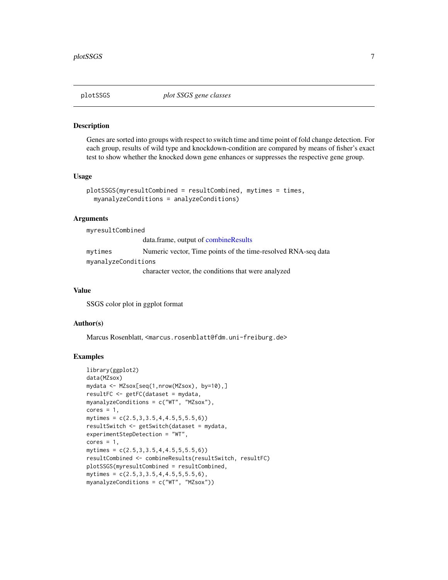#### <span id="page-6-0"></span>Description

Genes are sorted into groups with respect to switch time and time point of fold change detection. For each group, results of wild type and knockdown-condition are compared by means of fisher's exact test to show whether the knocked down gene enhances or suppresses the respective gene group.

#### Usage

```
plotSSGS(myresultCombined = resultCombined, mytimes = times,
 myanalyzeConditions = analyzeConditions)
```
#### Arguments

myresultCombined

data.frame, output of [combineResults](#page-1-1) mytimes Numeric vector, Time points of the time-resolved RNA-seq data myanalyzeConditions

character vector, the conditions that were analyzed

#### Value

SSGS color plot in ggplot format

#### Author(s)

Marcus Rosenblatt, <marcus.rosenblatt@fdm.uni-freiburg.de>

#### Examples

```
library(ggplot2)
data(MZsox)
mydata <- MZsox[seq(1,nrow(MZsox), by=10),]
resultFC <- getFC(dataset = mydata,
myanalyzeConditions = c("WT", "MZsox"),
cores = 1,
mytimes = c(2.5,3,3.5,4,4.5,5,5.5,6))
resultSwitch <- getSwitch(dataset = mydata,
experimentStepDetection = "WT",
cores = 1,mytimes = c(2.5,3,3.5,4,4.5,5,5.5,6))
resultCombined <- combineResults(resultSwitch, resultFC)
plotSSGS(myresultCombined = resultCombined,
mytimes = c(2.5,3,3.5,4,4.5,5,5.5,6),
myanalyzeConditions = c("WT", "MZsox"))
```